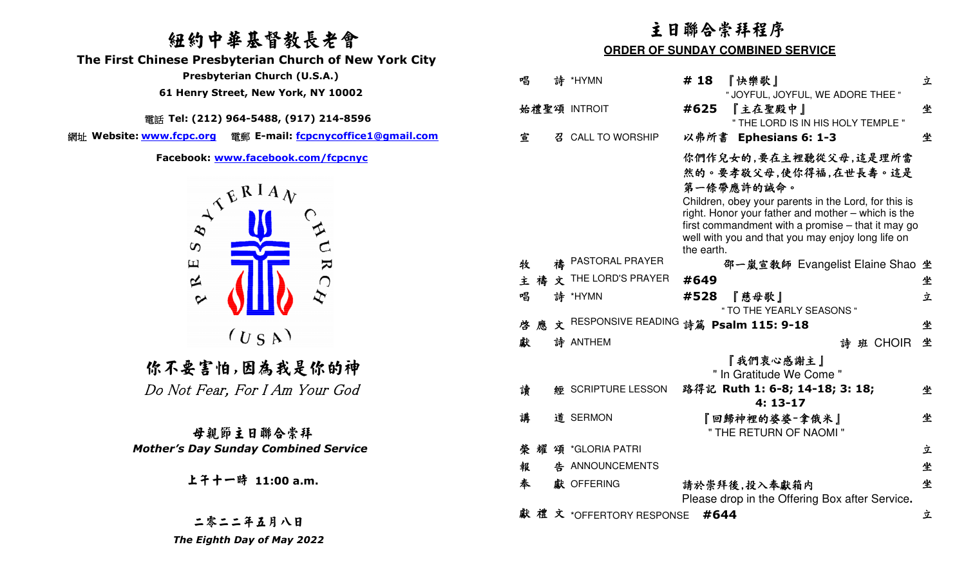### 紐約中華基督教長老會

 **The First Chinese Presbyterian Church of New York City** 

電話 **Tel: (212) 964-5488, (917) 214-8596** 

網址 **Website: www.fcpc.org** 電郵 **E-mail: fcpcnycoffice1@gmail.com**



你不要害怕,因為我是你的神 Do Not Fear, For I Am Your God

母親節主日聯合崇拜  *Mother's Day Sunday Combined Service*

二零二二年五月八日 *The Eighth Day of May 2022* 

### 主日聯合崇拜程序

### **ORDER OF SUNDAY COMBINED SERVICE**

|            | Presbyterian Church (U.S.A.)                               | 唱 |    | 詩 *HYMN                                 | # 18       | 『快樂歌』                                                                                                      | 立 |
|------------|------------------------------------------------------------|---|----|-----------------------------------------|------------|------------------------------------------------------------------------------------------------------------|---|
|            | 61 Henry Street, New York, NY 10002                        |   |    | 始禮聖頌 INTROIT                            | #625       | " JOYFUL, JOYFUL, WE ADORE THEE "<br>『主在聖殿中』                                                               | 坐 |
|            | 話 Tel: (212) 964-5488, (917) 214-8596                      |   |    |                                         |            | " THE LORD IS IN HIS HOLY TEMPLE "                                                                         |   |
| w.fcpc.org | 電郵 E-mail: fcpcnycoffice1@gmail.com                        | 宣 |    | 召 CALL TO WORSHIP                       |            | 以弗所書 Ephesians 6: 1-3                                                                                      | 坐 |
|            | Facebook: www.facebook.com/fcpcnyc                         |   |    |                                         |            | 你們作兒女的,要在主裡聽從父母,這是理所當                                                                                      |   |
|            | $A^{\mathcal{A}^{\mathcal{B}^{\mathcal{B}IA}}\mathcal{W}}$ |   |    |                                         |            | 然的。要孝敬父母,使你得福,在世長壽。這是                                                                                      |   |
|            |                                                            |   |    |                                         |            | 第一條帶應許的誡命。                                                                                                 |   |
|            |                                                            |   |    |                                         |            | Children, obey your parents in the Lord, for this is<br>right. Honor your father and mother – which is the |   |
|            |                                                            |   |    |                                         |            | first commandment with a promise – that it may go                                                          |   |
| $\infty$   |                                                            |   |    |                                         | the earth. | well with you and that you may enjoy long life on                                                          |   |
| $\Xi$      |                                                            | 牧 |    | 禱 PASTORAL PRAYER                       |            | 邵一嵐宣教師 Evangelist Elaine Shao 坐                                                                            |   |
| $\approx$  | URC                                                        |   |    | 主 禱 文 THE LORD'S PRAYER                 | #649       |                                                                                                            | 坐 |
| $\sim$     |                                                            | 唱 |    | 詩 *HYMN                                 | #528       | 『慈母歌』                                                                                                      | 立 |
|            |                                                            |   |    |                                         |            | " TO THE YEARLY SEASONS "                                                                                  |   |
|            |                                                            |   | 啓應 | 文 RESPONSIVE READING 詩篇 Psalm 115: 9-18 |            |                                                                                                            | 坐 |
|            | (U S A)                                                    | 獻 |    | 詩 ANTHEM                                |            | 詩班 CHOIR 坐                                                                                                 |   |
|            | :不要害怕,因為我是你的神                                              |   |    |                                         |            | 『我們衷心感謝主』                                                                                                  |   |
|            |                                                            |   |    |                                         |            | " In Gratitude We Come "                                                                                   |   |
|            | o Not Fear, For I Am Your God                              | 讀 |    | 經 SCRIPTURE LESSON                      |            | 路得記 Ruth 1: 6-8; 14-18; 3: 18;                                                                             | 坐 |
|            |                                                            | 講 |    | 道 SERMON                                |            | $4:13-17$<br>『回歸神裡的婆婆-拿俄米』                                                                                 | 坐 |
|            | 母親節主日聯合崇拜                                                  |   |    |                                         |            | " THE RETURN OF NAOMI"                                                                                     |   |
|            | her's Day Sunday Combined Service                          |   |    | 榮耀頌 *GLORIA PATRI                       |            |                                                                                                            | 立 |
|            |                                                            | 報 |    | 告 ANNOUNCEMENTS                         |            |                                                                                                            | 坐 |
|            | 上干十一時 11:00 a.m.                                           | 奉 |    | 獻 OFFERING                              |            | 請於崇拜後,投入奉獻箱内                                                                                               | 坐 |
|            |                                                            |   |    |                                         |            | Please drop in the Offering Box after Service.                                                             |   |
|            |                                                            |   |    | 獻 禮 文 *OFFERTORY RESPONSE               |            | #644                                                                                                       | 立 |
|            | 二零二二年另月八日                                                  |   |    |                                         |            |                                                                                                            |   |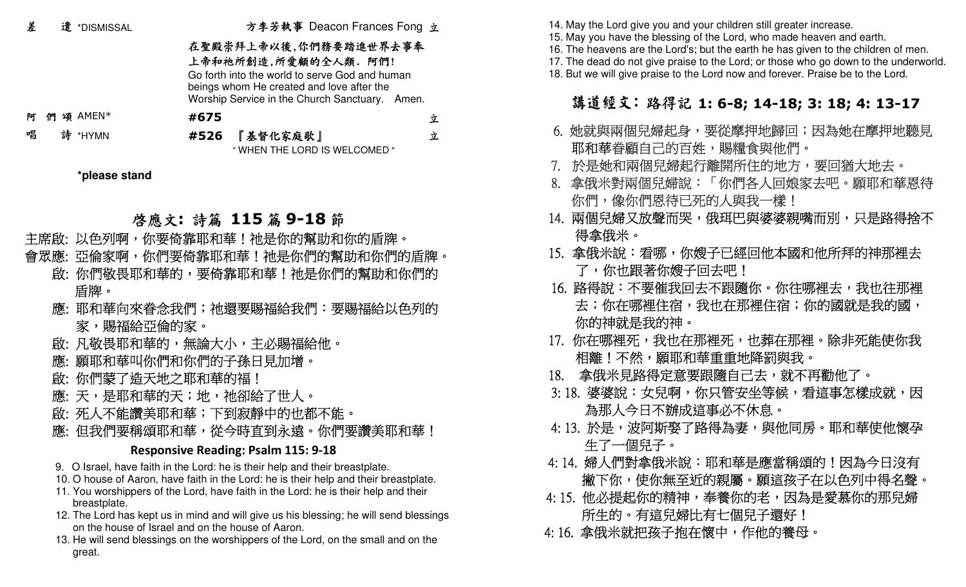| 差 |    |   | 遣 *DISMISSAL  |                                                                                                                                                                                                | 方李芳執事 Deacon Frances Fong 立               |   |  |
|---|----|---|---------------|------------------------------------------------------------------------------------------------------------------------------------------------------------------------------------------------|-------------------------------------------|---|--|
|   |    |   |               | 在聖殿崇拜上帝以後,你們務要踏進世界去事奉<br>上帝和祂所創造,所愛顧的全人類. 阿們!<br>Go forth into the world to serve God and human<br>beings whom He created and love after the<br>Worship Service in the Church Sanctuary. Amen. |                                           |   |  |
| 阿 | ብግ | 頌 | AMEN*         | #675                                                                                                                                                                                           |                                           | 立 |  |
| 唱 |    |   | 詩 *HYMN       | #526                                                                                                                                                                                           | 『基督化家庭歌』<br>" WHEN THE LORD IS WELCOMED " | 立 |  |
|   |    |   | *please stand |                                                                                                                                                                                                |                                           |   |  |

## 啓應文:詩篇 115 篇 9-18 節<br>,你要答意取和蒂!池具你的幫助和

- 主席啟: 以色列啊,你要倚靠耶和華!祂是你的幫助和你的盾牌。
- 會眾應: 亞倫家啊,你們要倚靠耶和華!祂是你們的幫助和你們的盾牌。
	- 啟: 你們敬畏耶和華的,要倚靠耶和華!祂是你們的幫助和你們的 盾牌。
	- 應: 耶和華向來眷念我們;祂還要賜福給我們:要賜福給以色列的 家,賜福給亞倫的家。
	- 啟: 凡敬畏耶和華的,無論大小,主必賜福給他。
	- 應: 願耶和華叫你們和你們的子孫日見加增。
	- 啟: 你們蒙了造天地之耶和華的福!
	- 應: 天,是耶和華的天;地,祂卻給了世人。
	- 啟: 死人不能讚美耶和華;下到寂靜中的也都不能。
	- 應: 但我們要稱頌耶和華,從今時直到永遠。你們要讚美耶和華!

### **Responsive Reading: Psalm 115: 9-18**

- 9. O Israel, have faith in the Lord: he is their help and their breastplate.
- 10. O house of Aaron, have faith in the Lord: he is their help and their breastplate.
- 11. You worshippers of the Lord, have faith in the Lord: he is their help and their breastplate.
- 12. The Lord has kept us in mind and will give us his blessing; he will send blessings on the house of Israel and on the house of Aaron.
- 13. He will send blessings on the worshippers of the Lord, on the small and on the great.

14. May the Lord give you and your children still greater increase.

- 15. May you have the blessing of the Lord, who made heaven and earth.
- 16. The heavens are the Lord's; but the earth he has given to the children of men.
- 17. The dead do not give praise to the Lord; or those who go down to the underworld.
- 18. But we will give praise to the Lord now and forever. Praise be to the Lord.

# 講道經文:路得記 **1: 6-8; 14-18; 3: 18; 4: 13-17**

- 6. 她就與兩個兒婦起身,要從摩押地歸回;因為她在摩押地聽見 耶和華眷顧自己的百姓,賜糧食與他們。
- 7. 於是她和兩個兒婦起行離開所住的地方,要回猶大地去。
- 8. 拿俄米對兩個兒婦說:「你們各人回娘家去吧。願耶和華恩待 你們,像你們恩待已死的人與我一樣!
	- 14. 兩個兒婦又放聲而哭,俄珥巴與婆婆親嘴而別,只是路得捨不 得拿俄米。
	- 15. 拿俄米說:看哪,你嫂子已經回他本國和他所拜的神那裡去
		- 了,你也跟著你嫂子回去吧!
- 16. 路得說:不要催我回去不跟隨你。你往哪裡去,我也往那裡 去;你在哪裡住宿,我也在那裡住宿;你的國就是我的國, 你的神就<del>是</del>我的神。
	- 17. 你在哪裡死,我也在那裡死,也葬在那裡。除非死能使你我 相離!不然,願耶和華重重地降罰與我。
	- 18. 拿俄米見路得定意要跟隨自己去,就不再勸他了。
- 3: 18. 婆婆說:女兒啊,你只管安坐等候,看這事怎樣成就,因 為那人今日不辦成這事必不休息。
- 4: 13. 於是,波阿斯娶了路得為妻,與他同房。耶和華使他懷孕 生了一個兒子。
	- 4: 14. 婦人們對拿俄米說:耶和華是應當稱頌的!因為今日沒有 撇下你,使你無至近的親屬。願這孩子在以色列中得名聲。
	- 4: 15. 他必提起你的精神,奉養你的老,因為是愛慕你的那兒婦. 所生的。有這兒婦比有七個兒子還好!
- 4: 16. 拿俄米就把孩子抱在懷中,作他的養母。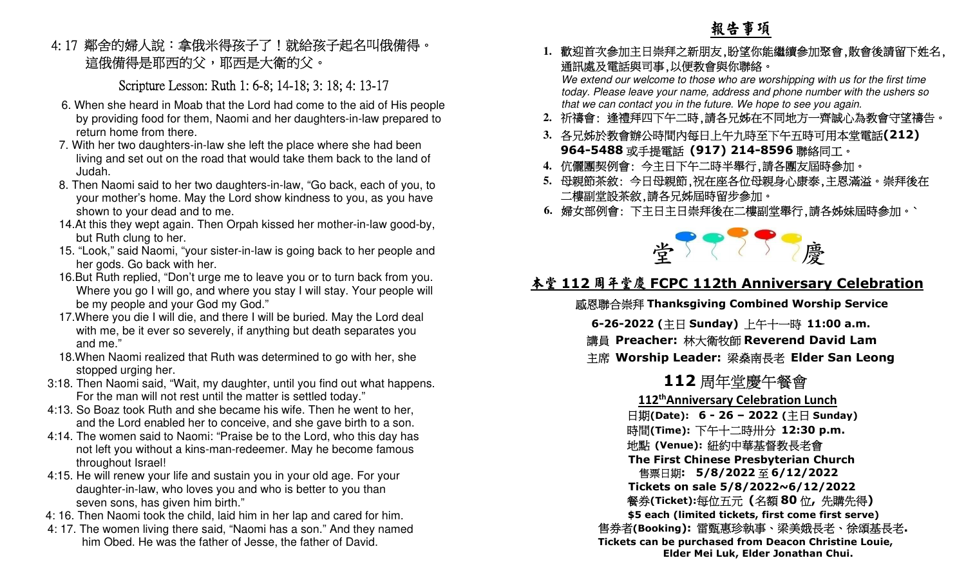### 4: 17 鄰舍的婦人說:拿俄米得孩子了!就給孩子起名叫俄備得。 這俄備得是耶西的父,耶西是大衛的父。

### cripture Lesson: Ruth 1: 6-8; 14-18; 3: 18; 4: 13-17 S

- 6. When she heard in Moab that the Lord had come to the aid of His people by providing food for them, Naomi and her daughters-in-law prepared to return home from there.
- 7. With her two daughters-in-law she left the place where she had been living and set out on the road that would take them back to the land of Judah.
- 8. Then Naomi said to her two daughters-in-law, "Go back, each of you, to your mother's home. May the Lord show kindness to you, as you have shown to your dead and to me.
- 14.At this they wept again. Then Orpah kissed her mother-in-law good-by, but Ruth clung to her.
- 15. "Look," said Naomi, "your sister-in-law is going back to her people and her gods. Go back with her.
- 16.But Ruth replied, "Don't urge me to leave you or to turn back from you. Where you go I will go, and where you stay I will stay. Your people will be my people and your God my God."
- 17.Where you die I will die, and there I will be buried. May the Lord deal with me, be it ever so severely, if anything but death separates you and me."
- 18.When Naomi realized that Ruth was determined to go with her, she stopped urging her.
- 3:18. Then Naomi said, "Wait, my daughter, until you find out what happens. For the man will not rest until the matter is settled today."
	- 4:13. So Boaz took Ruth and she became his wife. Then he went to her, and the Lord enabled her to conceive, and she gave birth to a son.
	- 4:14. The women said to Naomi: "Praise be to the Lord, who this day has not left you without a kins-man-redeemer. May he become famous throughout Israel!
	- 4:15. He will renew your life and sustain you in your old age. For your daughter-in-law, who loves you and who is better to you than seven sons, has given him birth."
	- 4: 16. Then Naomi took the child, laid him in her lap and cared for him.
	- 4: 17. The women living there said, "Naomi has a son." And they named him Obed. He was the father of Jesse, the father of David.

### 報告事項

**1.**歡迎首次參加主日崇拜之新朋友,盼望你能繼續參加聚會,散會後請留下姓名,通訊處及電話與司事,以便教會與你聯絡。

 We extend our welcome to those who are worshipping with us for the first time today. Please leave your name, address and phone number with the ushers so that we can contact you in the future. We hope to see you again.

- **2.**祈禱會: 逢禮拜四下午二時,請各兄姊在不同地方一齊誠心為教會守望禱告。
- **3.**各兄姊於教會辦公時間內每日上午九時至下午五時可用本堂電話**(212) 964-5488** 或手提電話 **(917) 214-8596** 聯絡同工。<br>位熈国契例命, ヘキロ下ケニ時平與行、詩々国方屈時命+
- **4.**伉儷團契例會: 今主日下午二時半舉行,請各團友屆時參加。
- **5.**母親節茶敘: 今日母親節,祝在座各位母親身心康泰,主恩滿溢。崇拜後在 二樓副堂設茶敘,請各兄姊屆時留步參加。
- **6.**婦女部例會: 下主日主日崇拜後在二樓副堂舉行,請各姊妹屆時參加。`



# **堂 室 く ノ 慶**<br><u>本堂 112 周年堂慶 FCPC 112th Anniversary Celebration</u>

感恩聯合崇拜 **Thanksgiving Combined Worship Service**

**6-26-2022 (**主日 **Sunday)**  上午十一時 **11:00 a.m.**

講員 **Preacher:** 林大衛牧師 **Reverend David Lam** 

主席 **Worship Leader:** 梁燊南長老 **Elder San Leong** 

### **112**周年堂慶午餐會

  **112thAnniversary Celebration Lunch** 日期**(Date): 6 - 26 – 2022 (**主日 **Sunday)**  時間**(Time):** 下午十二時卅分 **12:30 p.m.**  地點 **(Venue):** 紐約中華基督教長老會  **The First Chinese Presbyterian Church** 售票日期**: 5/8/2022**至 **6/12/2022 Tickets on sale 5/8/2022~6/12/2022**  餐券**(Ticket):**每位五元 **(**名額 **<sup>80</sup>** 位**,** 先購先得**)** ited tickets, first come first :  **\$5 each (limited tickets, first come first serve)**  售券者**(Booking):** 雷甄惠珍執事、梁美娥長老、徐頌基長老**. Tickets can be purchased from Deacon Christine Louie, Elder Mei Luk, Elder Jonathan Chui.**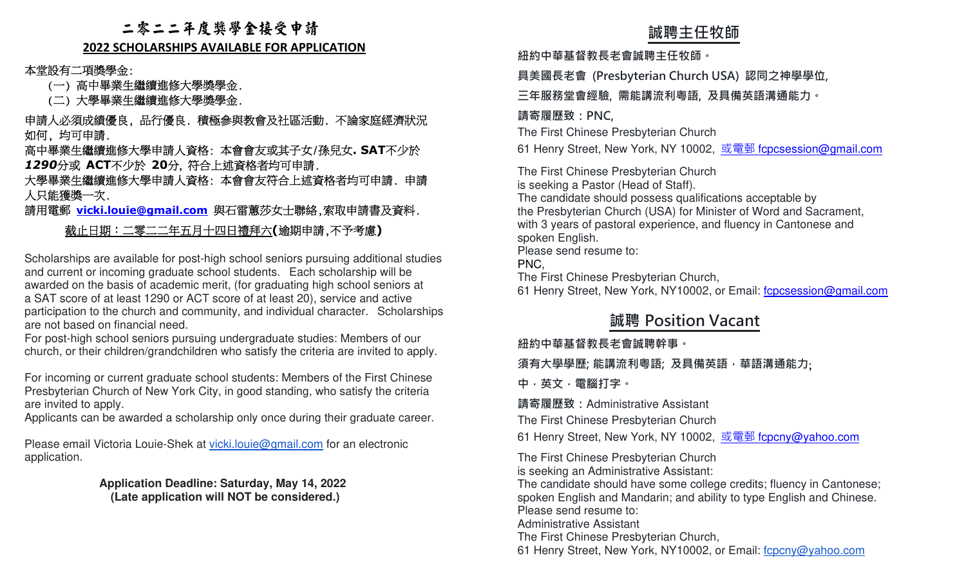### 二零二二年度獎學金接受申請

### **2022 SCHOLARSHIPS AVAILABLE FOR APPLICATION**

本堂設有二項獎學金:

(一) 高中畢業生繼續進修大學獎學金.

(二) 大學畢業生繼續進修大學獎學金.

 申請人必須成績優良, 品行優良. 積極參與教會及社區活動. 不論家庭經濟狀況 如何, 均可申請.

 高中畢業生繼續進修大學申請人資格: 本會會友或其子女/孫兒女**. SAT**不少於*1290*分或 **ACT**不少於 **20**分, 符合上述資格者均可申請.

 大學畢業生繼續進修大學申請人資格: 本會會友符合上述資格者均可申請. 申請 人只能獲獎一次.

請用電郵 **vicki.louie@gmail.com** 與石雷蕙莎女士聯絡,索取申請書及資料.

### 截止日期:二零二二年五月十四日禮拜六**(**逾期申請,不予考慮**)**

Scholarships are available for post-high school seniors pursuing additional studies and current or incoming graduate school students. Each scholarship will be awarded on the basis of academic merit, (for graduating high school seniors at a SAT score of at least 1290 or ACT score of at least 20), service and active participation to the church and community, and individual character. Scholarships are not based on financial need. **誠聘主任牧師 紐約中華基督教⻑老會誠聘主任牧師。 具美國⻑老會 (Presbyterian Church USA) 認同之神學學位, 三年服務堂會經驗, 需能講流利粵語, 及具備英語溝通能力。 請寄履歷致:PNC,** The First Chinese Presbyterian Church 61 Henry Street, New York, NY 10002, 或電郵 fcpcsession@gmail.com The First Chinese Presbyterian Church is seeking a Pastor (Head of Staff). The candidate should possess qualifications acceptable by the Presbyterian Church (USA) for Minister of Word and Sacrament, with 3 years of pastoral experience, and fluency in Cantonese and spoken English. Please send resume to: PNC, The First Chinese Presbyterian Church, 61 Henry Street, New York, NY10002, or Email: fcpcsession@gmail.com

 For post-high school seniors pursuing undergraduate studies: Members of our church, or their children/grandchildren who satisfy the criteria are invited to apply.

For incoming or current graduate school students: Members of the First Chinese Presbyterian Church of New York City, in good standing, who satisfy the criteria are invited to apply.

Applicants can be awarded a scholarship only once during their graduate career.

Please email Victoria Louie-Shek at vicki.louie@gmail.com for an electronic application.

> **Application Deadline: Saturday, May 14, 2022 (Late application will NOT be considered.)**

### **誠聘 Position Vacant**

**紐約中華基督教⻑老會誠聘幹事。**

**須有大學學歷; 能講流利粵語; 及具備英語,華語溝通能力**;

**中,英文,電腦打字。 請寄履歷致:**Administrative Assistant

The First Chinese Presbyterian Church

61 Henry Street, New York, NY 10002, <u>或電郵 fcpcny@yahoo.com</u>

The First Chinese Presbyterian Churchis seeking an Administrative Assistant:

 The candidate should have some college credits; fluency in Cantonese; spoken English and Mandarin; and ability to type English and Chinese.Please send resume to:

Administrative Assistant

The First Chinese Presbyterian Church,

61 Henry Street, New York, NY10002, or Email: fcpcny@yahoo.com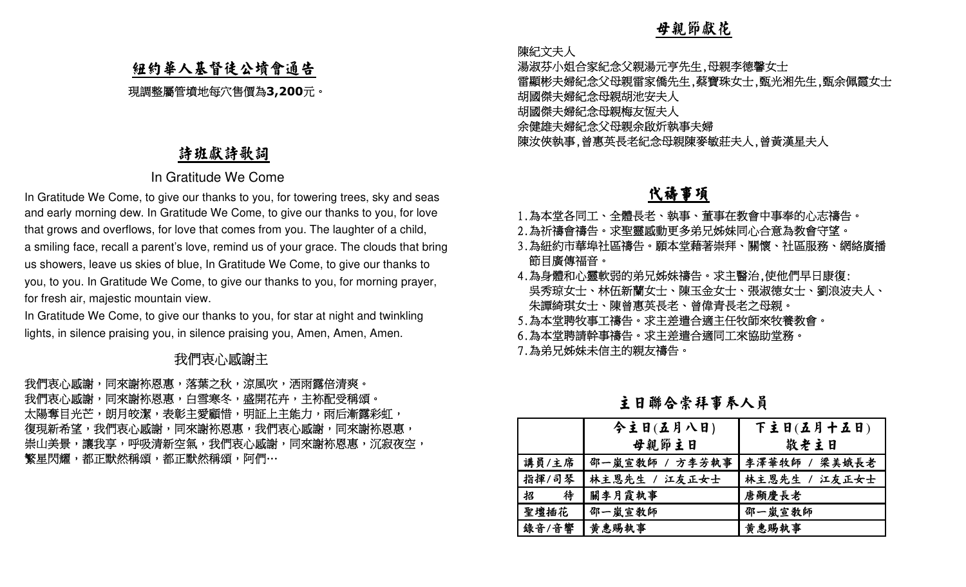### 紐約華人基督徒公墳會通告

現調整屬管墳地每穴售價為**3,200**元。

### 詩班獻詩歌詞

### In Gratitude We Come

In Gratitude We Come, to give our thanks to you, for towering trees, sky and seas and early morning dew. In Gratitude We Come, to give our thanks to you, for love that grows and overflows, for love that comes from you. The laughter of a child, a smiling face, recall a parent's love, remind us of your grace. The clouds that bring us showers, leave us skies of blue, In Gratitude We Come, to give our thanks to you, to you. In Gratitude We Come, to give our thanks to you, for morning prayer, for fresh air, majestic mountain view. … 母親節獻花

In Gratitude We Come, to give our thanks to you, for star at night and twinkling lights, in silence praising you, in silence praising you, Amen, Amen, Amen.

### 医心包 医心包 化二乙酸 我 們衷心感謝主

我們衷心感謝,同來謝袮恩惠,落葉之秋,涼風吹,洒雨露倍清爽。」 我們衷心感謝,同來謝袮恩惠,白雪寒冬,盛開花卉,主袮配受稱頌。 太陽奪目光芒,朗月皎潔,表彰主愛顧惜,明証上主能力,雨后漸露彩虹, 復現新希望,我們衷心感謝,同來謝袮恩惠,同來謝袮恩惠, 崇山美景,讓我享,呼吸清新空氣,我們衷心感謝,同來謝袮恩惠,沉寂夜空, 繁星閃耀,都正默然稱頌,阿們

陳紀文夫人

 湯淑芬小姐合家紀念父親湯元亨先生,母親李德馨女士 雷顯彬夫婦紀念父母親雷家僑先生,蔡寶珠女士,甄光湘先生,甄余佩霞女士 胡國傑夫婦紀念母親胡池安夫人 胡國傑夫婦紀念母親梅友恆夫人 余健雄夫婦紀念父母親余啟炘執事夫婦 陳汝俠執事,曾惠英長老紀念母親陳麥敏莊夫人,曾黃漢星夫人

### 代禱事項

- 1.為本堂各同工、全體長老、執事、董事在教會中事奉的心志禱告。
- 2.為祈禱會禱告。求聖靈感動更多弟兄姊妹同心合意為教會守望。
- 3.為紐約市華埠社區禱告。願本堂藉著崇拜、關懷、社區服務、網絡廣播 節目廣傳福音。
- 4.為身體和心靈軟弱的弟兄姊妹禱告。求主醫治,使他們早日康復: 吳秀琼女士、林伍新蘭女士、陳玉金女士、張淑德女士、劉浪波夫人、 朱譚綺琪女士、陳曾惠英長老、曾偉青長老之母親。
- 5.為本堂聘牧事工禱告。求主差遣合適主任牧師來牧養教會。
- 6.為本堂聘請幹事禱告。求主差遣合適同工來協助堂務。
- 7.為弟兄姊妹未信主的親友禱告。

|        | 今主日(五月八日)      | 下主日(五月十五日)    |
|--------|----------------|---------------|
|        | 母親節主日          | 敬老主日          |
| 講員/主席  | 邵一嵐宣敎師 / 方李芳執事 | 李澤華牧師 / 梁美娥長老 |
| 指揮/司琴  | 林主恩先生 / 江友正女士  | 林主恩先生 / 江友正女士 |
| 待<br>招 | 關李月霞執事         | 唐顯慶長老         |
| 聖壇插花   | 邵一嵐宣教師         | 邵一嵐宣教師        |
| 錄音/音響  | 黄惠賜執事          | 黄惠賜執事         |

主日聯合崇拜事奉人員